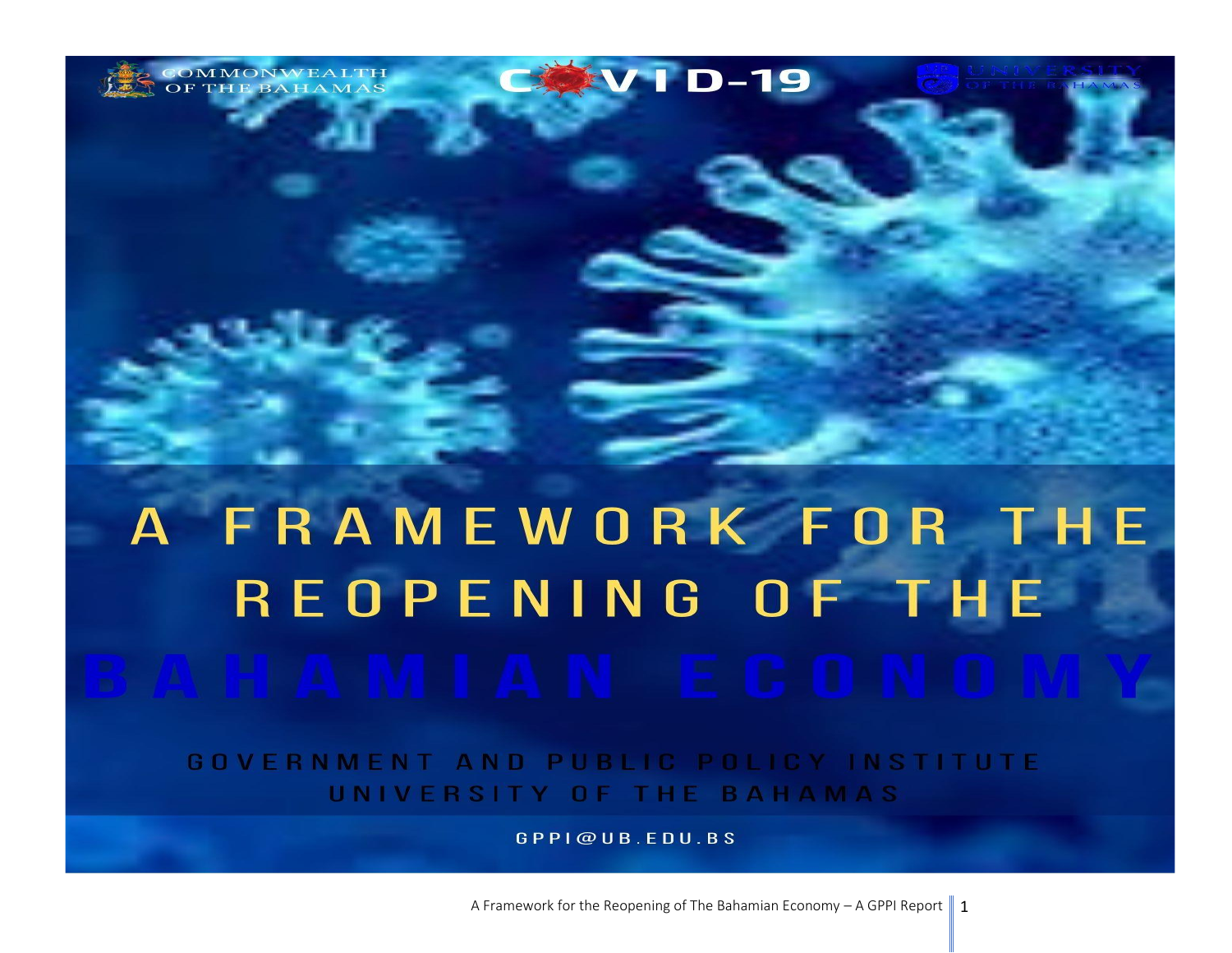**EVID-19** MMONWEALTH<br>THE BAHAMAS

# A FRAMEWORK FOR THE REOPENING OF THE

GOVERNMENT AND PUBLIC POLICY INSTITUTE UNIVERSITY OF THE BAHAMAS

GPPI@UB.EDU.BS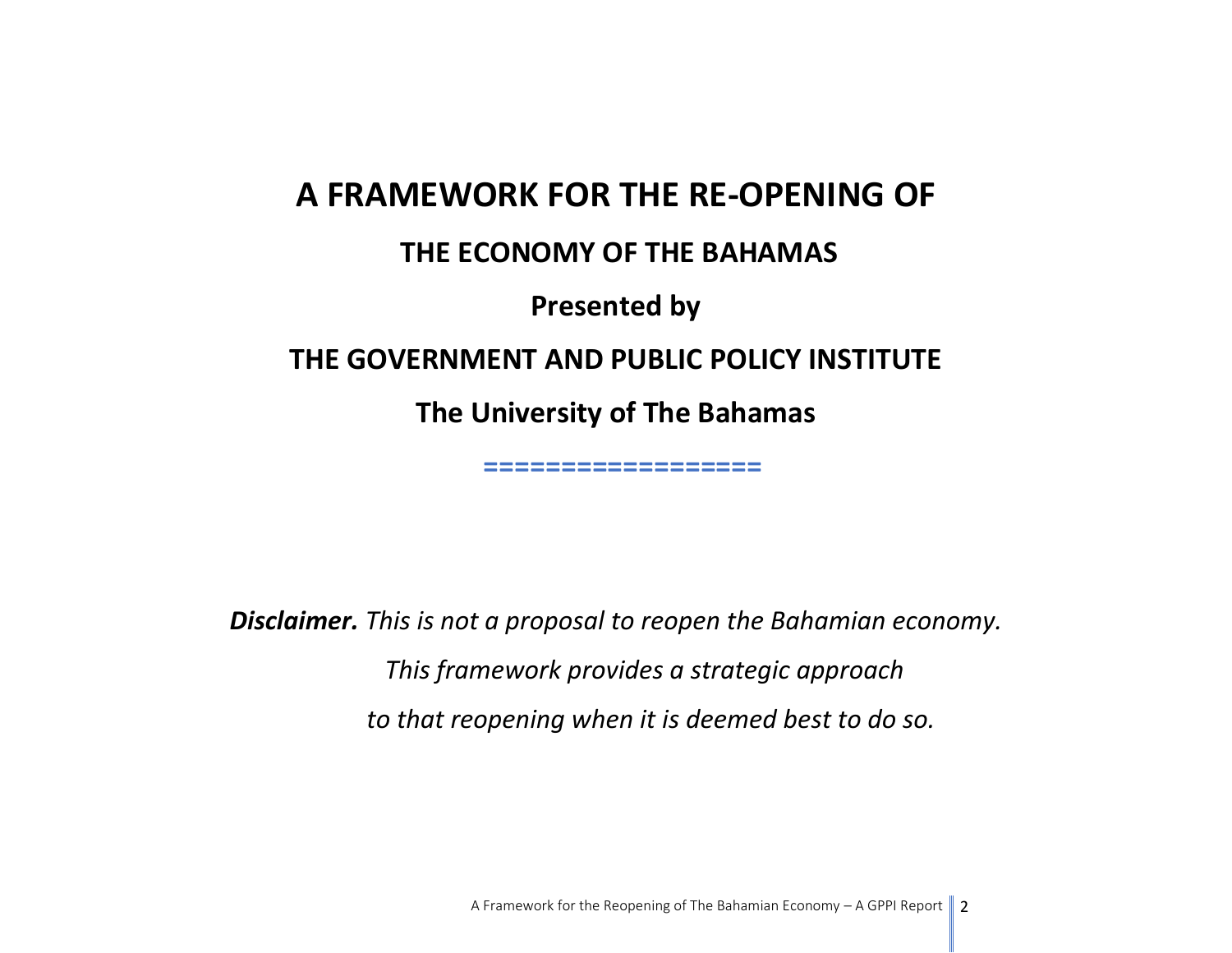# **A FRAMEWORK FOR THE RE-OPENING OF THE ECONOMY OF THE BAHAMAS Presented by THE GOVERNMENT AND PUBLIC POLICY INSTITUTE The University of The Bahamas**

 **==================**

*Disclaimer. This is not a proposal to reopen the Bahamian economy. This framework provides a strategic approach to that reopening when it is deemed best to do so.*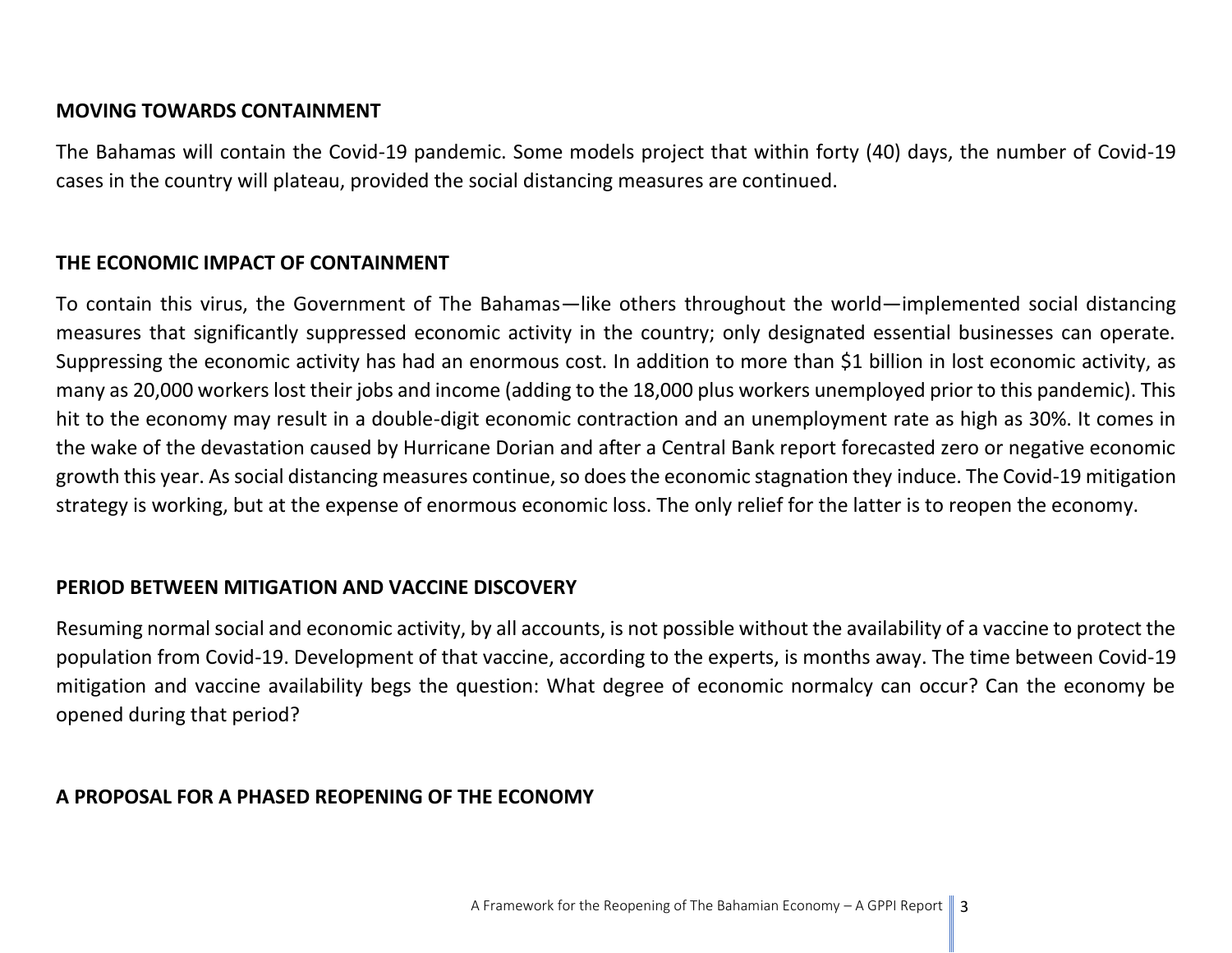#### **MOVING TOWARDS CONTAINMENT**

The Bahamas will contain the Covid-19 pandemic. Some models project that within forty (40) days, the number of Covid-19 cases in the country will plateau, provided the social distancing measures are continued.

#### **THE ECONOMIC IMPACT OF CONTAINMENT**

To contain this virus, the Government of The Bahamas—like others throughout the world—implemented social distancing measures that significantly suppressed economic activity in the country; only designated essential businesses can operate. Suppressing the economic activity has had an enormous cost. In addition to more than \$1 billion in lost economic activity, as many as 20,000 workers lost their jobs and income (adding to the 18,000 plus workers unemployed prior to this pandemic). This hit to the economy may result in a double-digit economic contraction and an unemployment rate as high as 30%. It comes in the wake of the devastation caused by Hurricane Dorian and after a Central Bank report forecasted zero or negative economic growth this year. As social distancing measures continue, so does the economic stagnation they induce. The Covid-19 mitigation strategy is working, but at the expense of enormous economic loss. The only relief for the latter is to reopen the economy.

#### **PERIOD BETWEEN MITIGATION AND VACCINE DISCOVERY**

Resuming normal social and economic activity, by all accounts, is not possible without the availability of a vaccine to protect the population from Covid-19. Development of that vaccine, according to the experts, is months away. The time between Covid-19 mitigation and vaccine availability begs the question: What degree of economic normalcy can occur? Can the economy be opened during that period?

#### **A PROPOSAL FOR A PHASED REOPENING OF THE ECONOMY**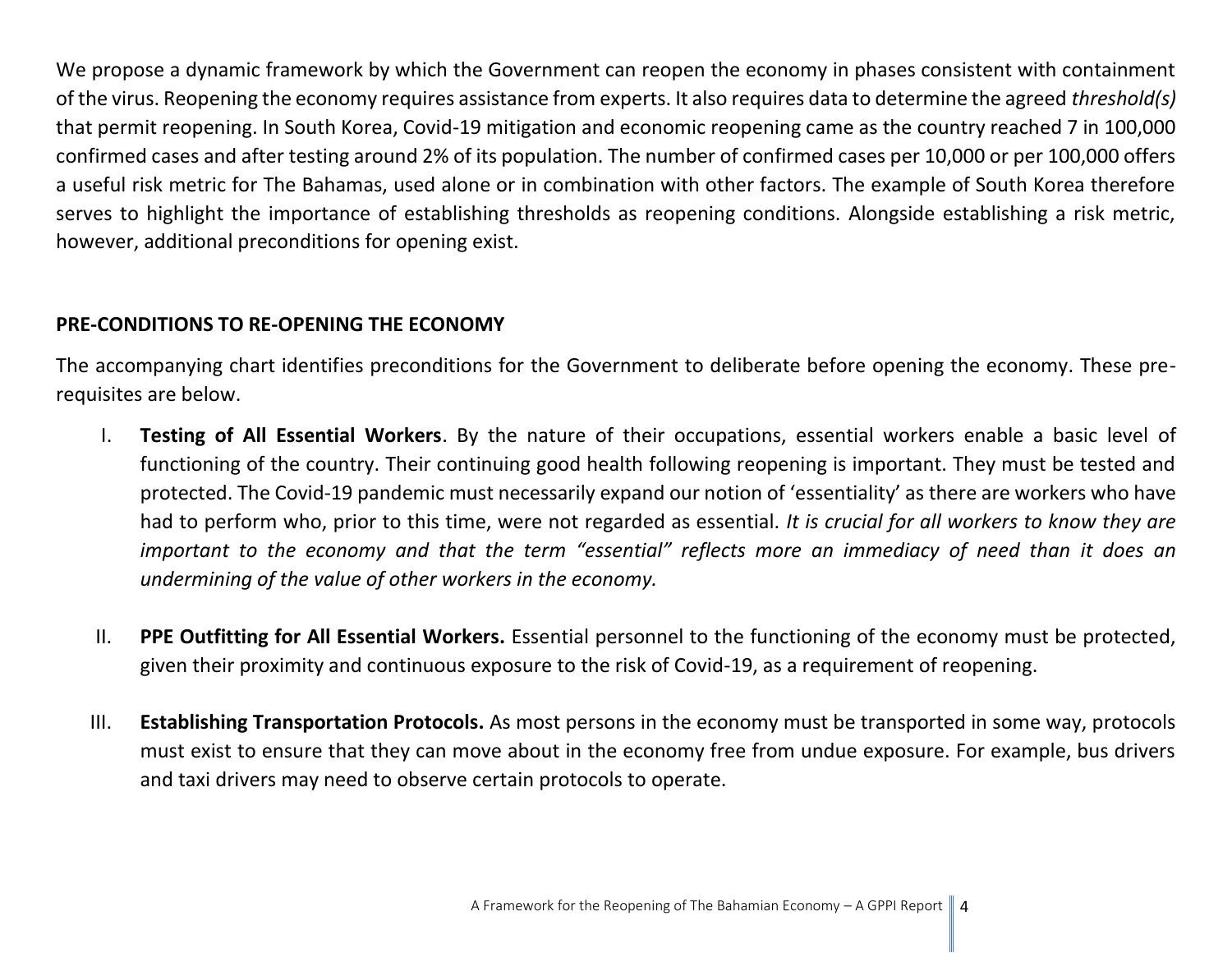We propose a dynamic framework by which the Government can reopen the economy in phases consistent with containment of the virus. Reopening the economy requires assistance from experts. It also requires data to determine the agreed *threshold(s)* that permit reopening. In South Korea, Covid-19 mitigation and economic reopening came as the country reached 7 in 100,000 confirmed cases and after testing around 2% of its population. The number of confirmed cases per 10,000 or per 100,000 offers a useful risk metric for The Bahamas, used alone or in combination with other factors. The example of South Korea therefore serves to highlight the importance of establishing thresholds as reopening conditions. Alongside establishing a risk metric, however, additional preconditions for opening exist.

#### **PRE-CONDITIONS TO RE-OPENING THE ECONOMY**

The accompanying chart identifies preconditions for the Government to deliberate before opening the economy. These prerequisites are below.

- I. **Testing of All Essential Workers**. By the nature of their occupations, essential workers enable a basic level of functioning of the country. Their continuing good health following reopening is important. They must be tested and protected. The Covid-19 pandemic must necessarily expand our notion of 'essentiality' as there are workers who have had to perform who, prior to this time, were not regarded as essential. *It is crucial for all workers to know they are important to the economy and that the term "essential" reflects more an immediacy of need than it does an undermining of the value of other workers in the economy.*
- II. **PPE Outfitting for All Essential Workers.** Essential personnel to the functioning of the economy must be protected, given their proximity and continuous exposure to the risk of Covid-19, as a requirement of reopening.
- III. **Establishing Transportation Protocols.** As most persons in the economy must be transported in some way, protocols must exist to ensure that they can move about in the economy free from undue exposure. For example, bus drivers and taxi drivers may need to observe certain protocols to operate.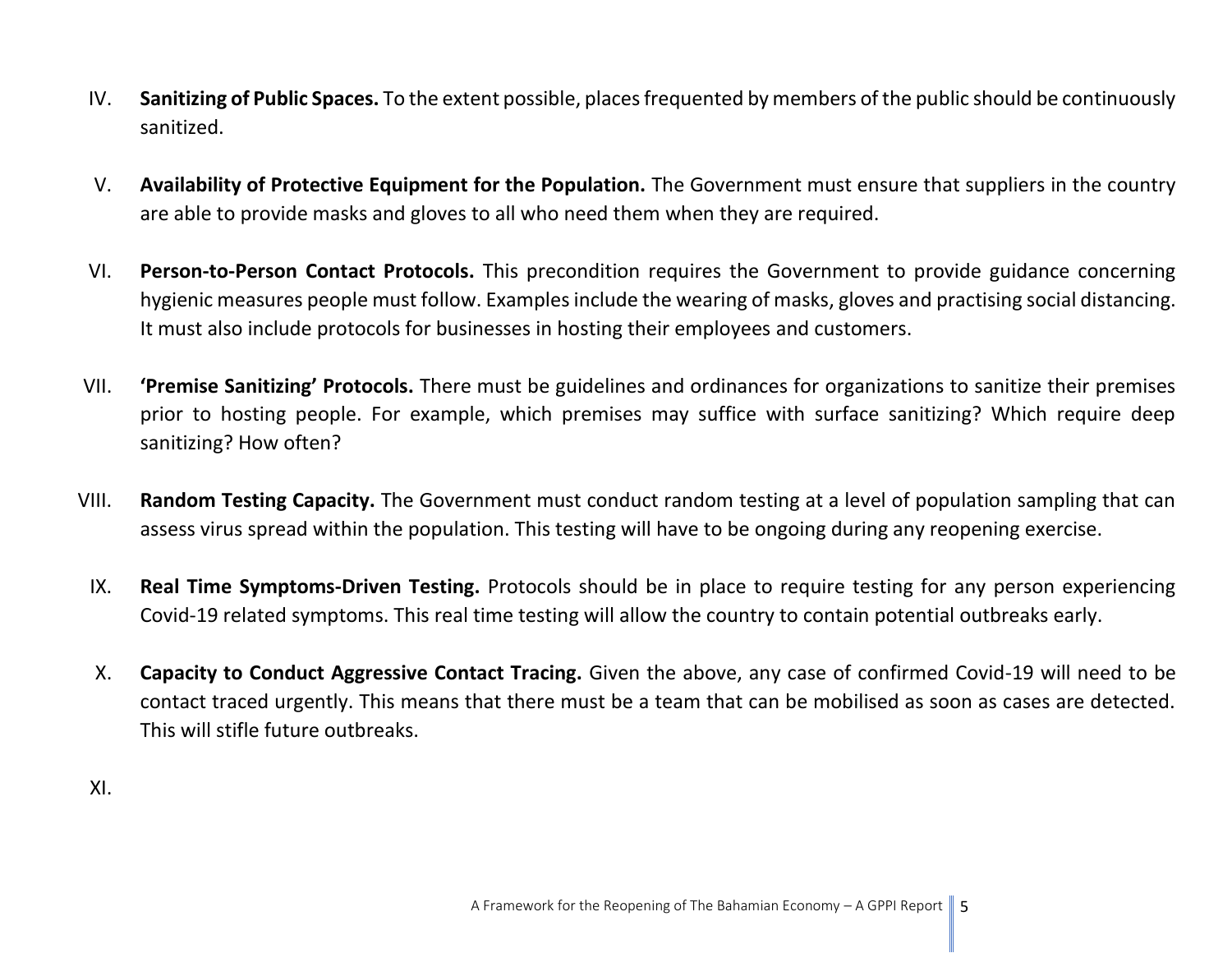- IV. **Sanitizing of Public Spaces.** To the extent possible, places frequented by members of the public should be continuously sanitized.
- V. **Availability of Protective Equipment for the Population.** The Government must ensure that suppliers in the country are able to provide masks and gloves to all who need them when they are required.
- VI. **Person-to-Person Contact Protocols.** This precondition requires the Government to provide guidance concerning hygienic measures people must follow. Examples include the wearing of masks, gloves and practising social distancing. It must also include protocols for businesses in hosting their employees and customers.
- VII. **'Premise Sanitizing' Protocols.** There must be guidelines and ordinances for organizations to sanitize their premises prior to hosting people. For example, which premises may suffice with surface sanitizing? Which require deep sanitizing? How often?
- VIII. **Random Testing Capacity.** The Government must conduct random testing at a level of population sampling that can assess virus spread within the population. This testing will have to be ongoing during any reopening exercise.
- IX. **Real Time Symptoms-Driven Testing.** Protocols should be in place to require testing for any person experiencing Covid-19 related symptoms. This real time testing will allow the country to contain potential outbreaks early.
- X. **Capacity to Conduct Aggressive Contact Tracing.** Given the above, any case of confirmed Covid-19 will need to be contact traced urgently. This means that there must be a team that can be mobilised as soon as cases are detected. This will stifle future outbreaks.

XI.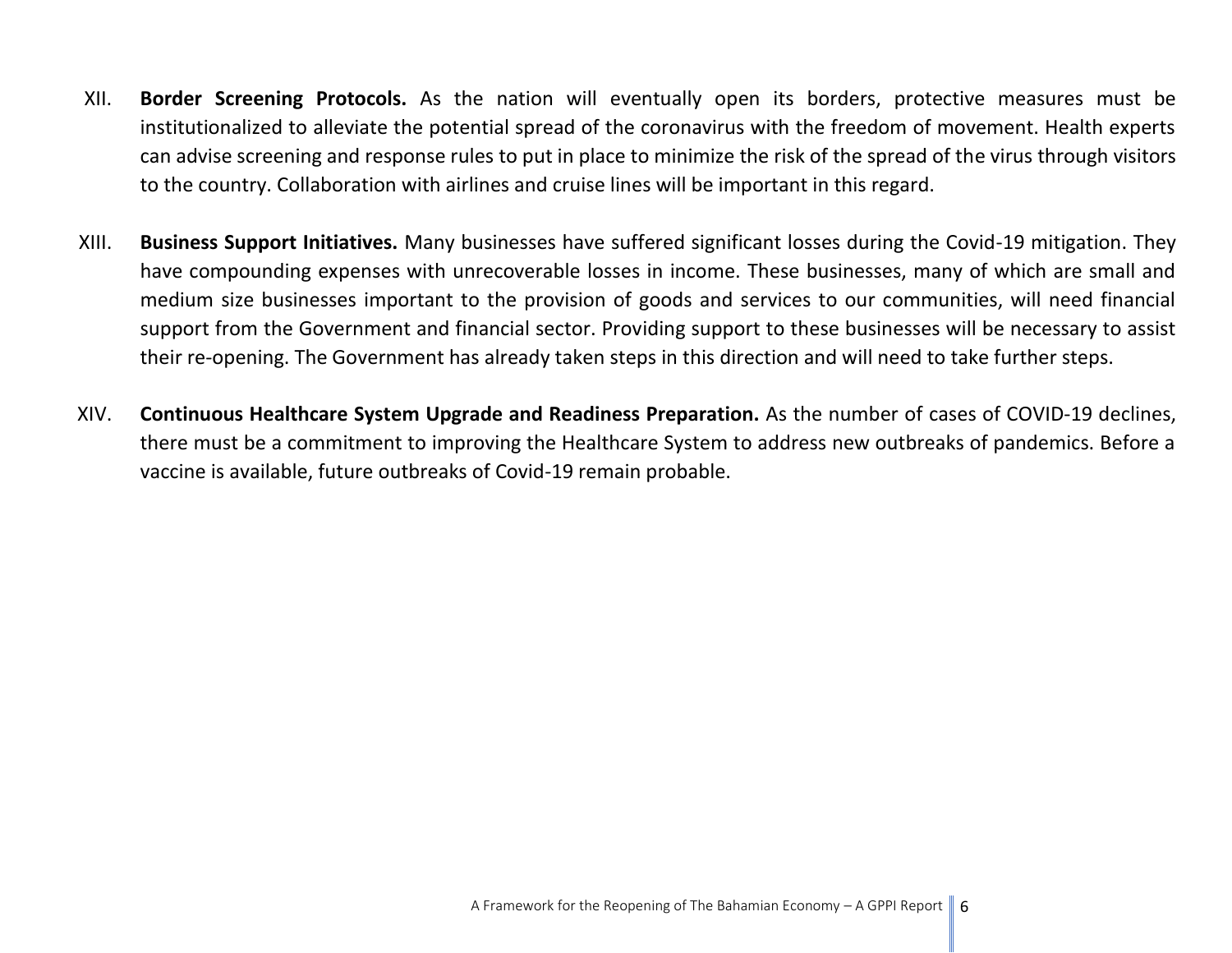- XII. **Border Screening Protocols.** As the nation will eventually open its borders, protective measures must be institutionalized to alleviate the potential spread of the coronavirus with the freedom of movement. Health experts can advise screening and response rules to put in place to minimize the risk of the spread of the virus through visitors to the country. Collaboration with airlines and cruise lines will be important in this regard.
- XIII. **Business Support Initiatives.** Many businesses have suffered significant losses during the Covid-19 mitigation. They have compounding expenses with unrecoverable losses in income. These businesses, many of which are small and medium size businesses important to the provision of goods and services to our communities, will need financial support from the Government and financial sector. Providing support to these businesses will be necessary to assist their re-opening. The Government has already taken steps in this direction and will need to take further steps.
- XIV. **Continuous Healthcare System Upgrade and Readiness Preparation.** As the number of cases of COVID-19 declines, there must be a commitment to improving the Healthcare System to address new outbreaks of pandemics. Before a vaccine is available, future outbreaks of Covid-19 remain probable.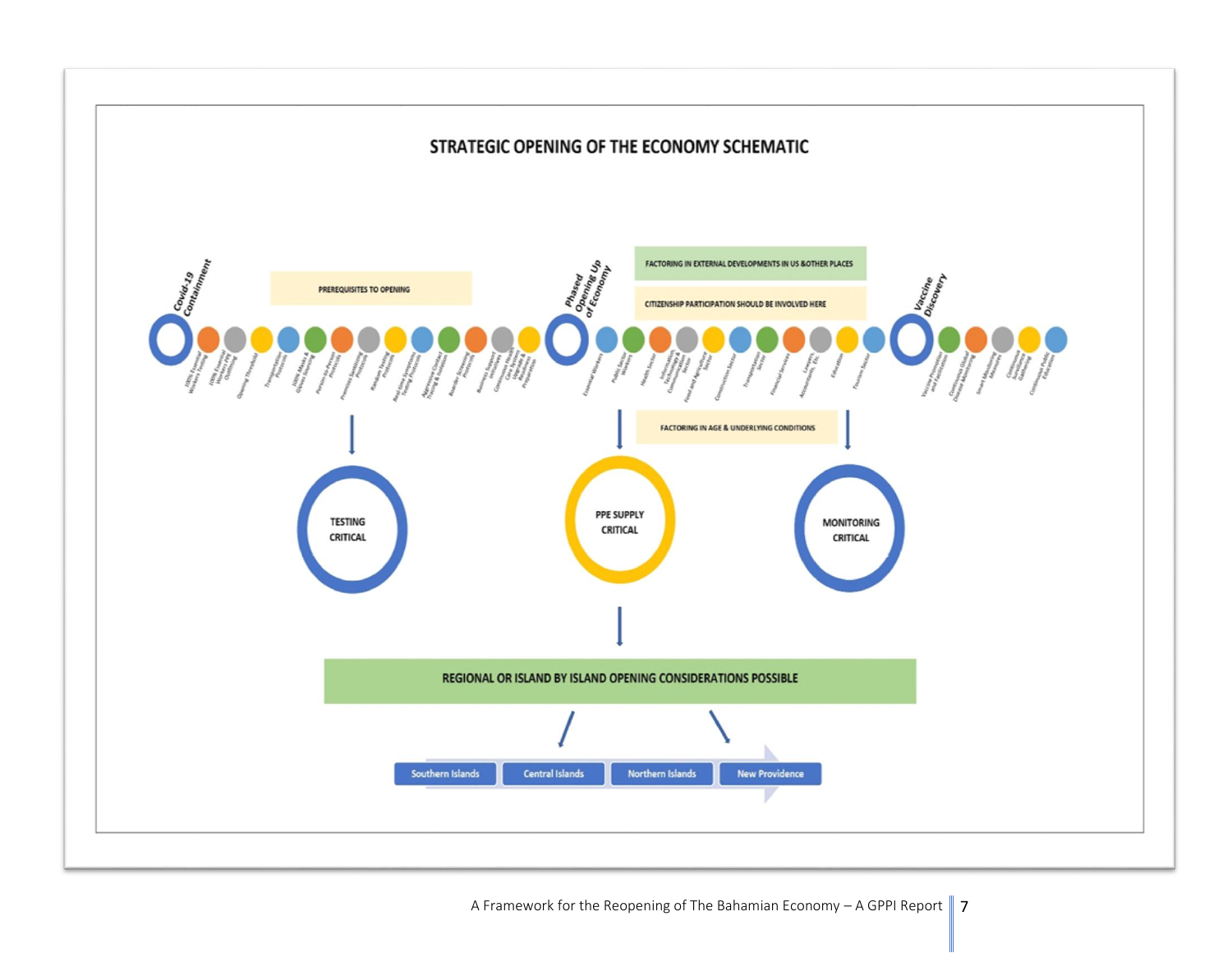

A Framework for the Reopening of The Bahamian Economy – A GPPI Report  $\parallel$  7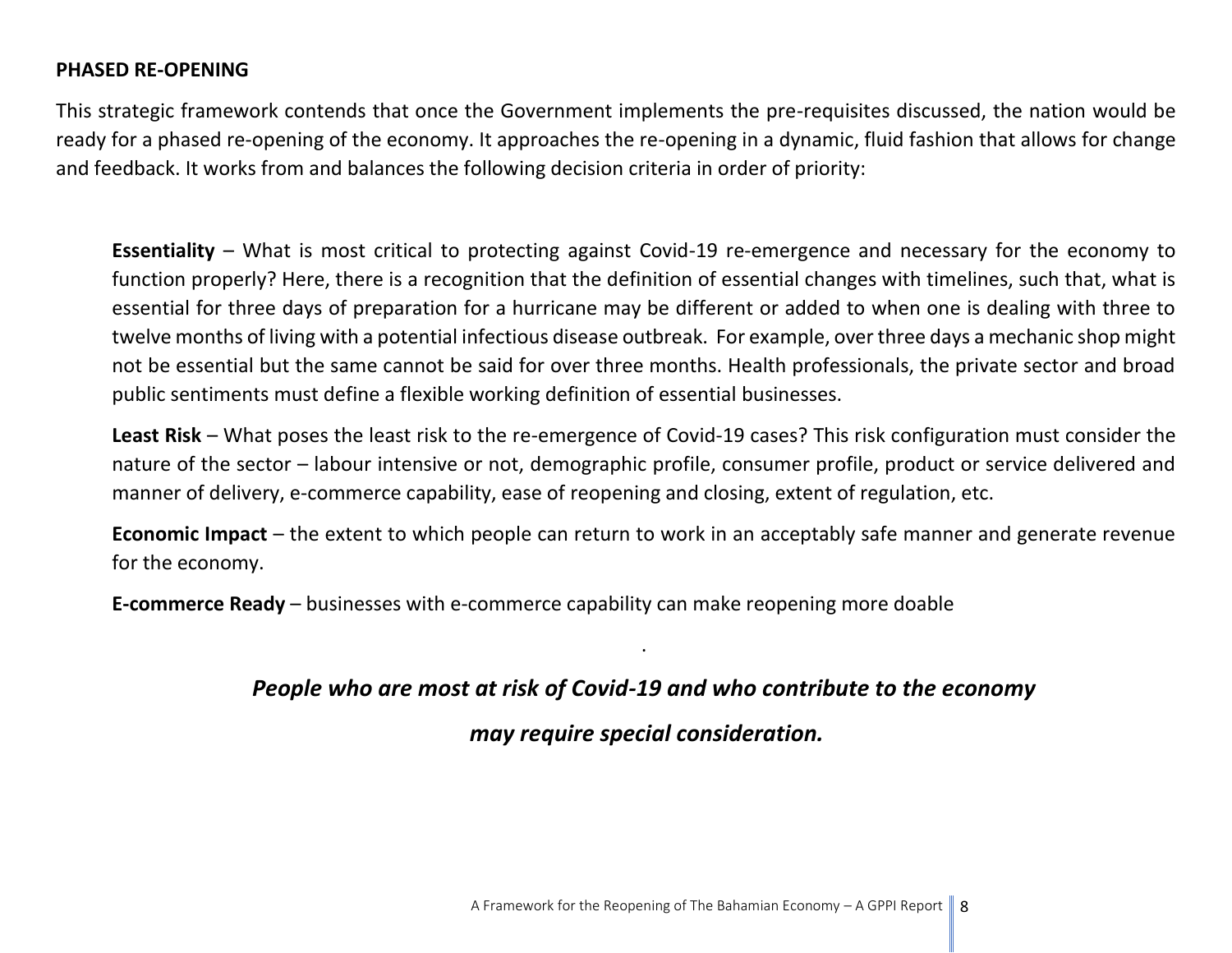#### **PHASED RE-OPENING**

This strategic framework contends that once the Government implements the pre-requisites discussed, the nation would be ready for a phased re-opening of the economy. It approaches the re-opening in a dynamic, fluid fashion that allows for change and feedback. It works from and balances the following decision criteria in order of priority:

**Essentiality** – What is most critical to protecting against Covid-19 re-emergence and necessary for the economy to function properly? Here, there is a recognition that the definition of essential changes with timelines, such that, what is essential for three days of preparation for a hurricane may be different or added to when one is dealing with three to twelve months of living with a potential infectious disease outbreak. For example, over three days a mechanic shop might not be essential but the same cannot be said for over three months. Health professionals, the private sector and broad public sentiments must define a flexible working definition of essential businesses.

**Least Risk** – What poses the least risk to the re-emergence of Covid-19 cases? This risk configuration must consider the nature of the sector – labour intensive or not, demographic profile, consumer profile, product or service delivered and manner of delivery, e-commerce capability, ease of reopening and closing, extent of regulation, etc.

**Economic Impact** – the extent to which people can return to work in an acceptably safe manner and generate revenue for the economy.

**E-commerce Ready** – businesses with e-commerce capability can make reopening more doable

### *People who are most at risk of Covid-19 and who contribute to the economy*

.

*may require special consideration.*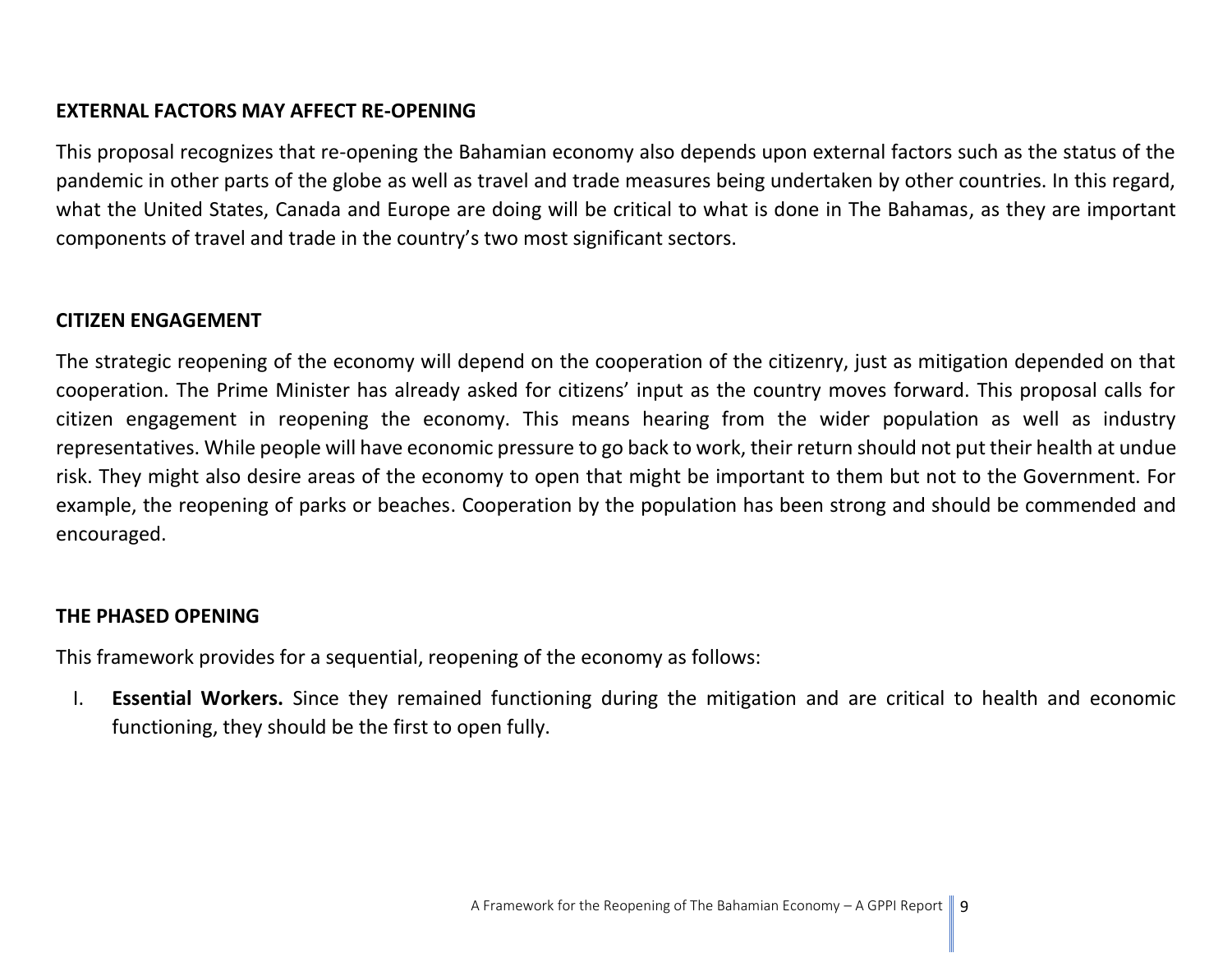#### **EXTERNAL FACTORS MAY AFFECT RE-OPENING**

This proposal recognizes that re-opening the Bahamian economy also depends upon external factors such as the status of the pandemic in other parts of the globe as well as travel and trade measures being undertaken by other countries. In this regard, what the United States, Canada and Europe are doing will be critical to what is done in The Bahamas, as they are important components of travel and trade in the country's two most significant sectors.

#### **CITIZEN ENGAGEMENT**

The strategic reopening of the economy will depend on the cooperation of the citizenry, just as mitigation depended on that cooperation. The Prime Minister has already asked for citizens' input as the country moves forward. This proposal calls for citizen engagement in reopening the economy. This means hearing from the wider population as well as industry representatives. While people will have economic pressure to go back to work, their return should not put their health at undue risk. They might also desire areas of the economy to open that might be important to them but not to the Government. For example, the reopening of parks or beaches. Cooperation by the population has been strong and should be commended and encouraged.

#### **THE PHASED OPENING**

This framework provides for a sequential, reopening of the economy as follows:

I. **Essential Workers.** Since they remained functioning during the mitigation and are critical to health and economic functioning, they should be the first to open fully.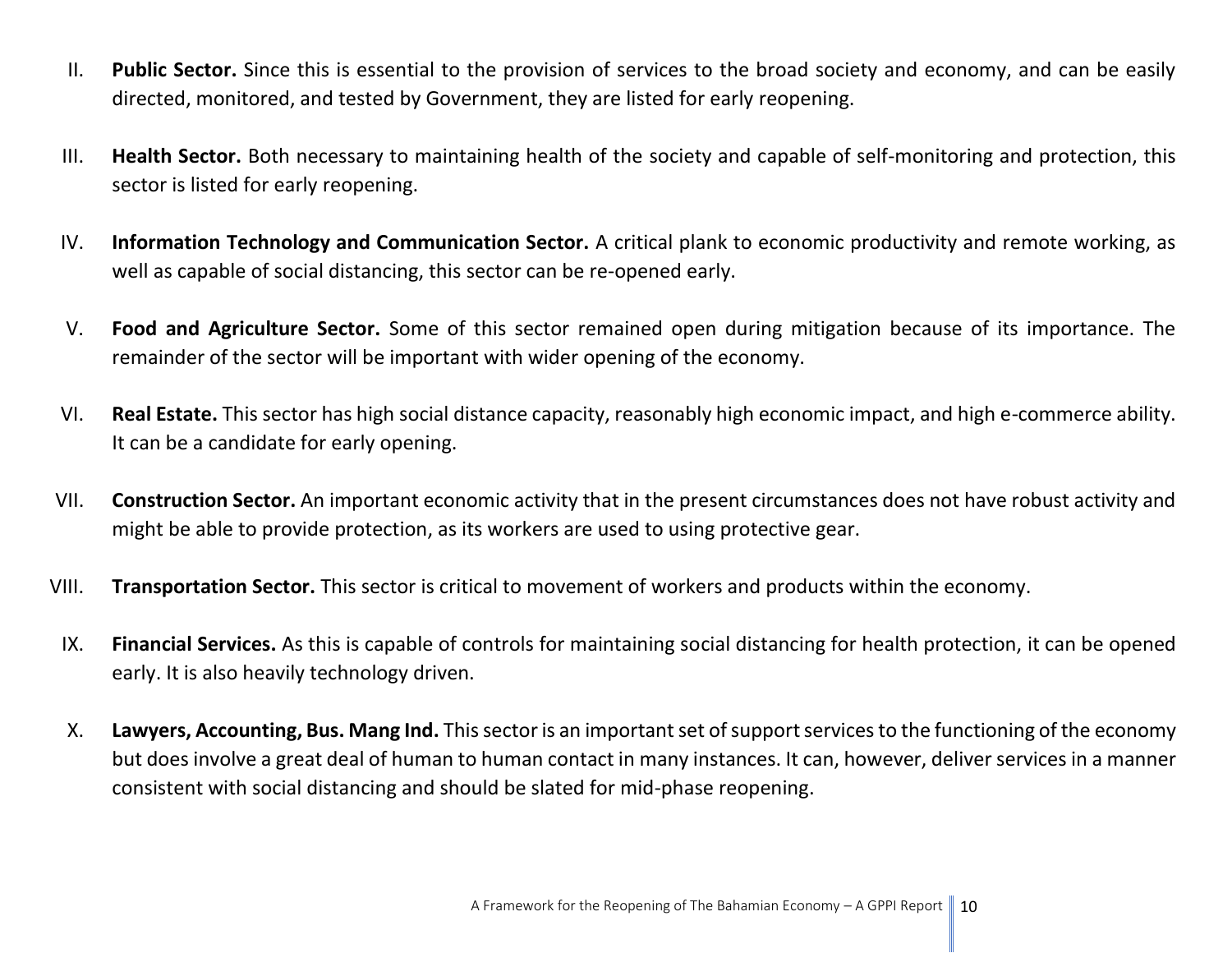- II. **Public Sector.** Since this is essential to the provision of services to the broad society and economy, and can be easily directed, monitored, and tested by Government, they are listed for early reopening.
- III. **Health Sector.** Both necessary to maintaining health of the society and capable of self-monitoring and protection, this sector is listed for early reopening.
- IV. **Information Technology and Communication Sector.** A critical plank to economic productivity and remote working, as well as capable of social distancing, this sector can be re-opened early.
- V. **Food and Agriculture Sector.** Some of this sector remained open during mitigation because of its importance. The remainder of the sector will be important with wider opening of the economy.
- VI. **Real Estate.** This sector has high social distance capacity, reasonably high economic impact, and high e-commerce ability. It can be a candidate for early opening.
- VII. **Construction Sector.** An important economic activity that in the present circumstances does not have robust activity and might be able to provide protection, as its workers are used to using protective gear.
- VIII. **Transportation Sector.** This sector is critical to movement of workers and products within the economy.
- IX. **Financial Services.** As this is capable of controls for maintaining social distancing for health protection, it can be opened early. It is also heavily technology driven.
- X. **Lawyers, Accounting, Bus. Mang Ind.** This sector is an important set of support services to the functioning of the economy but does involve a great deal of human to human contact in many instances. It can, however, deliver services in a manner consistent with social distancing and should be slated for mid-phase reopening.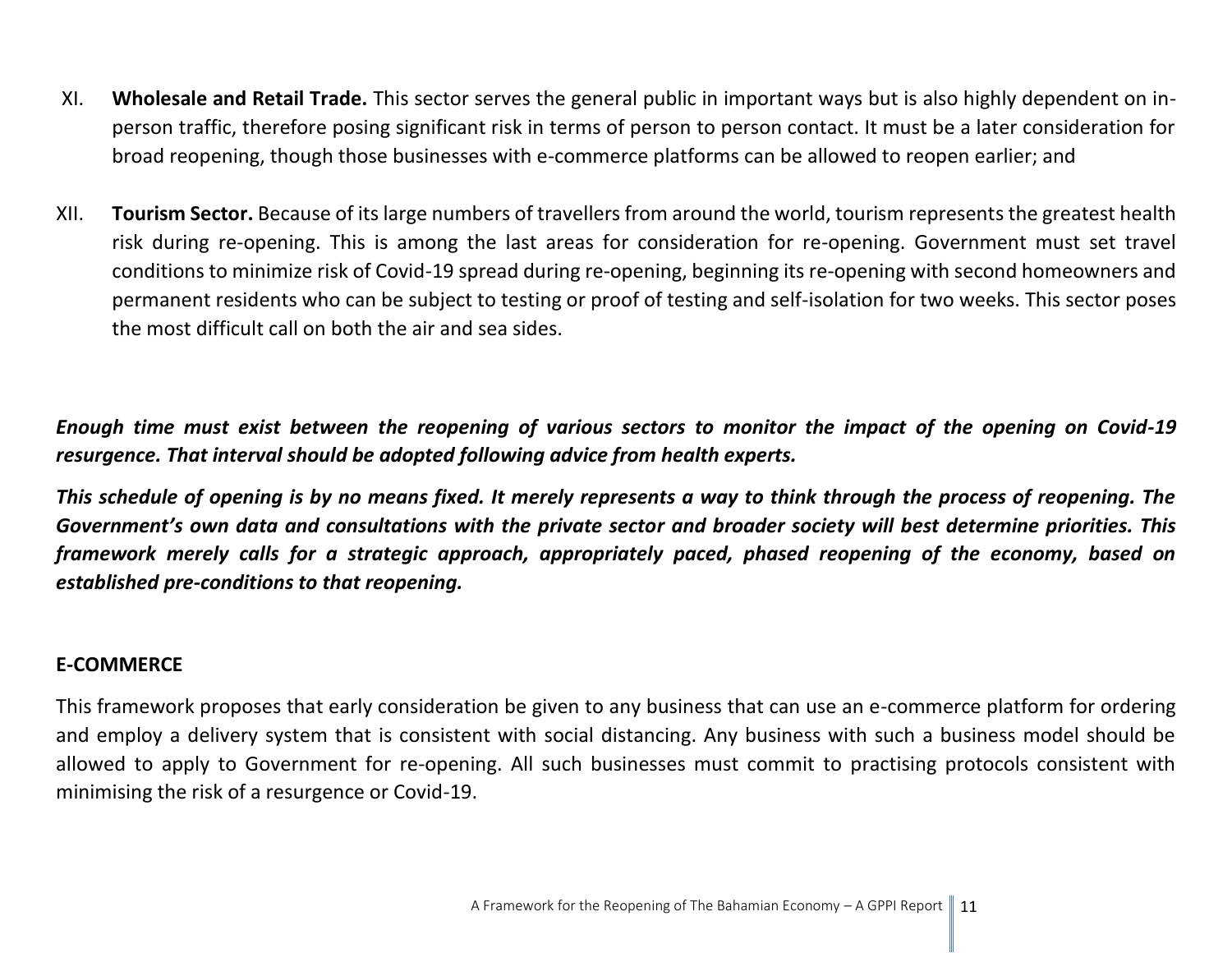- XI. **Wholesale and Retail Trade.** This sector serves the general public in important ways but is also highly dependent on inperson traffic, therefore posing significant risk in terms of person to person contact. It must be a later consideration for broad reopening, though those businesses with e-commerce platforms can be allowed to reopen earlier; and
- XII. **Tourism Sector.** Because of its large numbers of travellers from around the world, tourism represents the greatest health risk during re-opening. This is among the last areas for consideration for re-opening. Government must set travel conditions to minimize risk of Covid-19 spread during re-opening, beginning its re-opening with second homeowners and permanent residents who can be subject to testing or proof of testing and self-isolation for two weeks. This sector poses the most difficult call on both the air and sea sides.

*Enough time must exist between the reopening of various sectors to monitor the impact of the opening on Covid-19 resurgence. That interval should be adopted following advice from health experts.* 

*This schedule of opening is by no means fixed. It merely represents a way to think through the process of reopening. The Government's own data and consultations with the private sector and broader society will best determine priorities. This framework merely calls for a strategic approach, appropriately paced, phased reopening of the economy, based on established pre-conditions to that reopening.*

#### **E-COMMERCE**

This framework proposes that early consideration be given to any business that can use an e-commerce platform for ordering and employ a delivery system that is consistent with social distancing. Any business with such a business model should be allowed to apply to Government for re-opening. All such businesses must commit to practising protocols consistent with minimising the risk of a resurgence or Covid-19.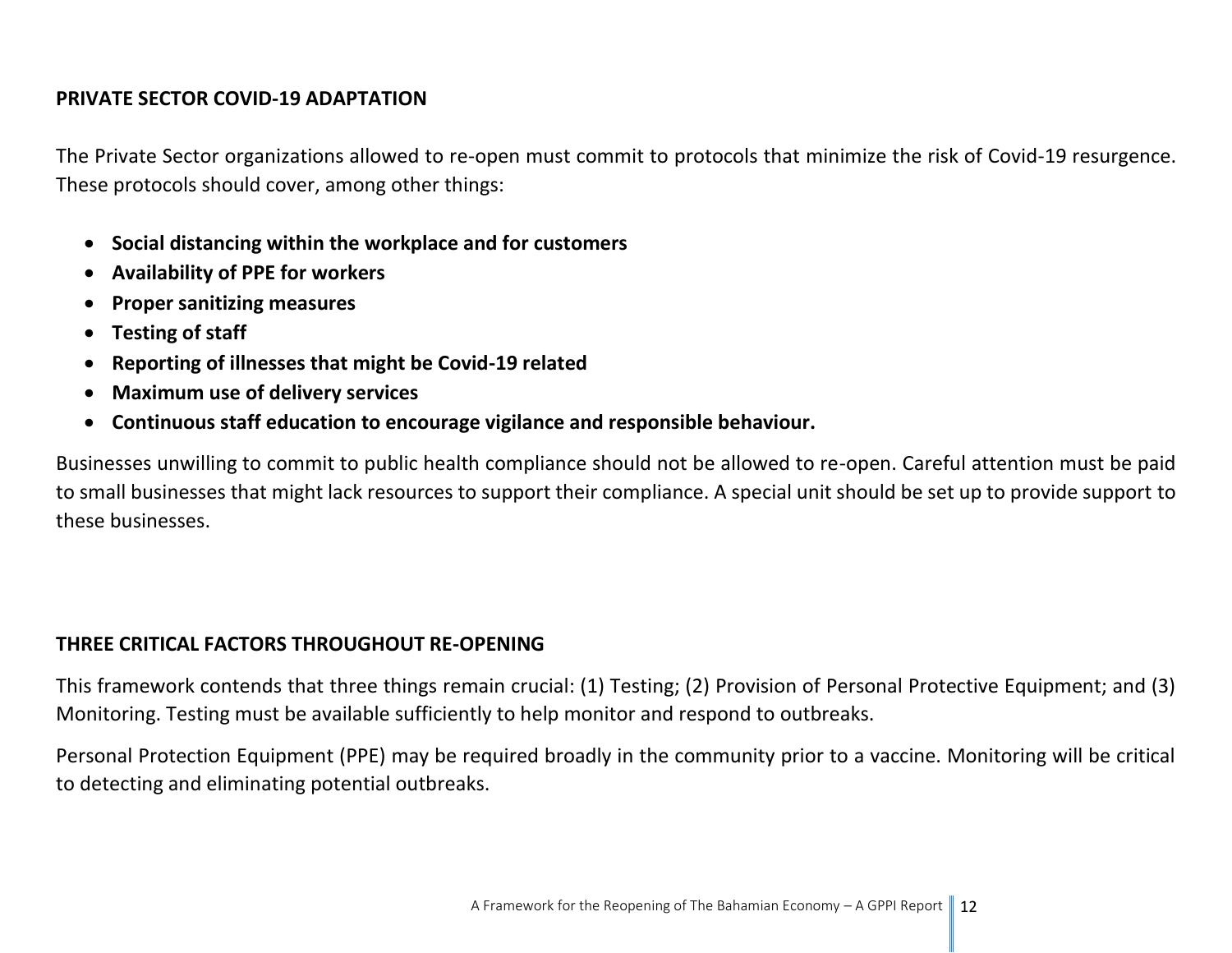#### **PRIVATE SECTOR COVID-19 ADAPTATION**

The Private Sector organizations allowed to re-open must commit to protocols that minimize the risk of Covid-19 resurgence. These protocols should cover, among other things:

- **Social distancing within the workplace and for customers**
- **Availability of PPE for workers**
- **Proper sanitizing measures**
- **Testing of staff**
- **Reporting of illnesses that might be Covid-19 related**
- **Maximum use of delivery services**
- **Continuous staff education to encourage vigilance and responsible behaviour.**

Businesses unwilling to commit to public health compliance should not be allowed to re-open. Careful attention must be paid to small businesses that might lack resources to support their compliance. A special unit should be set up to provide support to these businesses.

#### **THREE CRITICAL FACTORS THROUGHOUT RE-OPENING**

This framework contends that three things remain crucial: (1) Testing; (2) Provision of Personal Protective Equipment; and (3) Monitoring. Testing must be available sufficiently to help monitor and respond to outbreaks.

Personal Protection Equipment (PPE) may be required broadly in the community prior to a vaccine. Monitoring will be critical to detecting and eliminating potential outbreaks.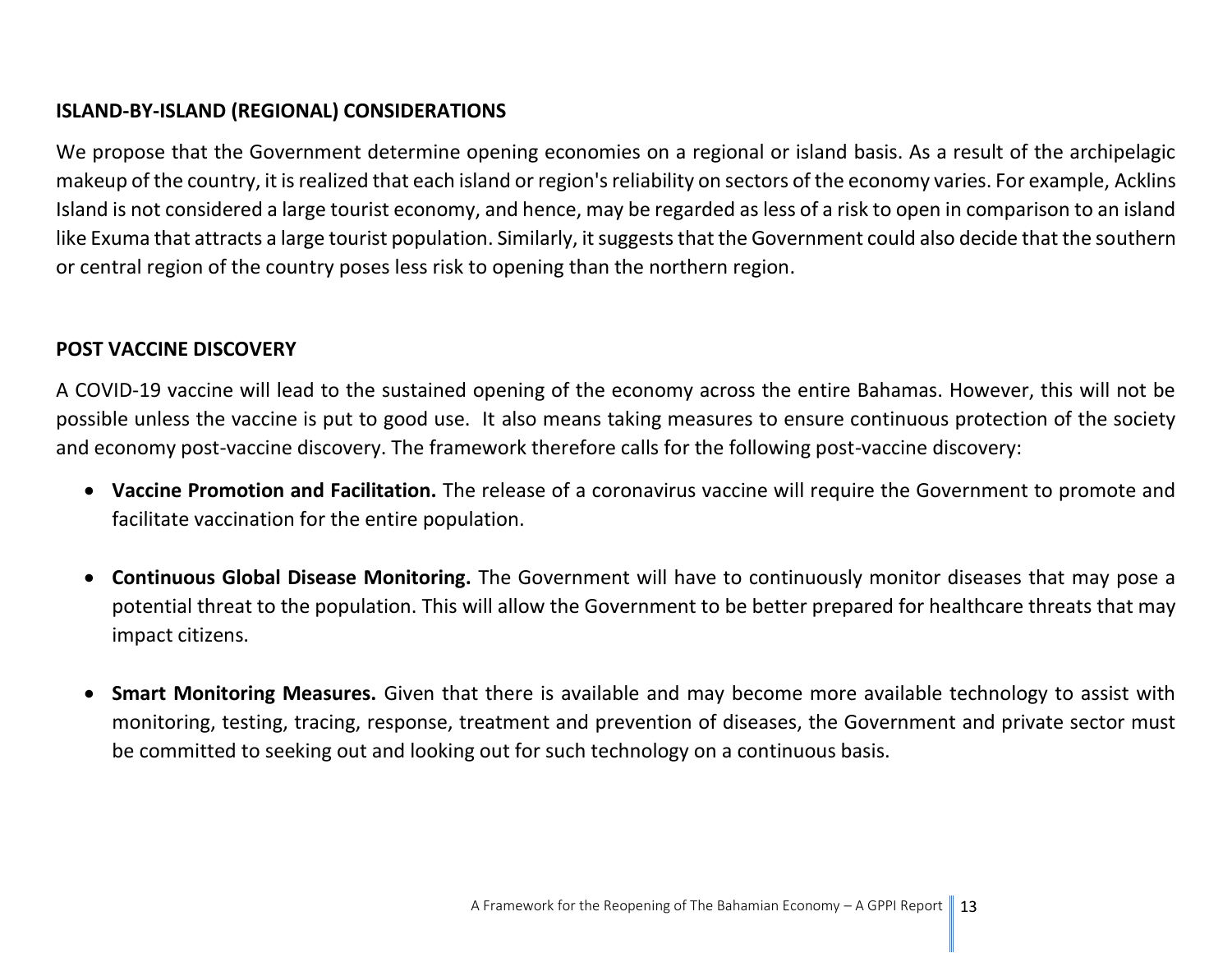#### **ISLAND-BY-ISLAND (REGIONAL) CONSIDERATIONS**

We propose that the Government determine opening economies on a regional or island basis. As a result of the archipelagic makeup of the country, it is realized that each island or region's reliability on sectors of the economy varies. For example, Acklins Island is not considered a large tourist economy, and hence, may be regarded as less of a risk to open in comparison to an island like Exuma that attracts a large tourist population. Similarly, it suggests that the Government could also decide that the southern or central region of the country poses less risk to opening than the northern region.

#### **POST VACCINE DISCOVERY**

A COVID-19 vaccine will lead to the sustained opening of the economy across the entire Bahamas. However, this will not be possible unless the vaccine is put to good use. It also means taking measures to ensure continuous protection of the society and economy post-vaccine discovery. The framework therefore calls for the following post-vaccine discovery:

- **Vaccine Promotion and Facilitation.** The release of a coronavirus vaccine will require the Government to promote and facilitate vaccination for the entire population.
- **Continuous Global Disease Monitoring.** The Government will have to continuously monitor diseases that may pose a potential threat to the population. This will allow the Government to be better prepared for healthcare threats that may impact citizens.
- **Smart Monitoring Measures.** Given that there is available and may become more available technology to assist with monitoring, testing, tracing, response, treatment and prevention of diseases, the Government and private sector must be committed to seeking out and looking out for such technology on a continuous basis.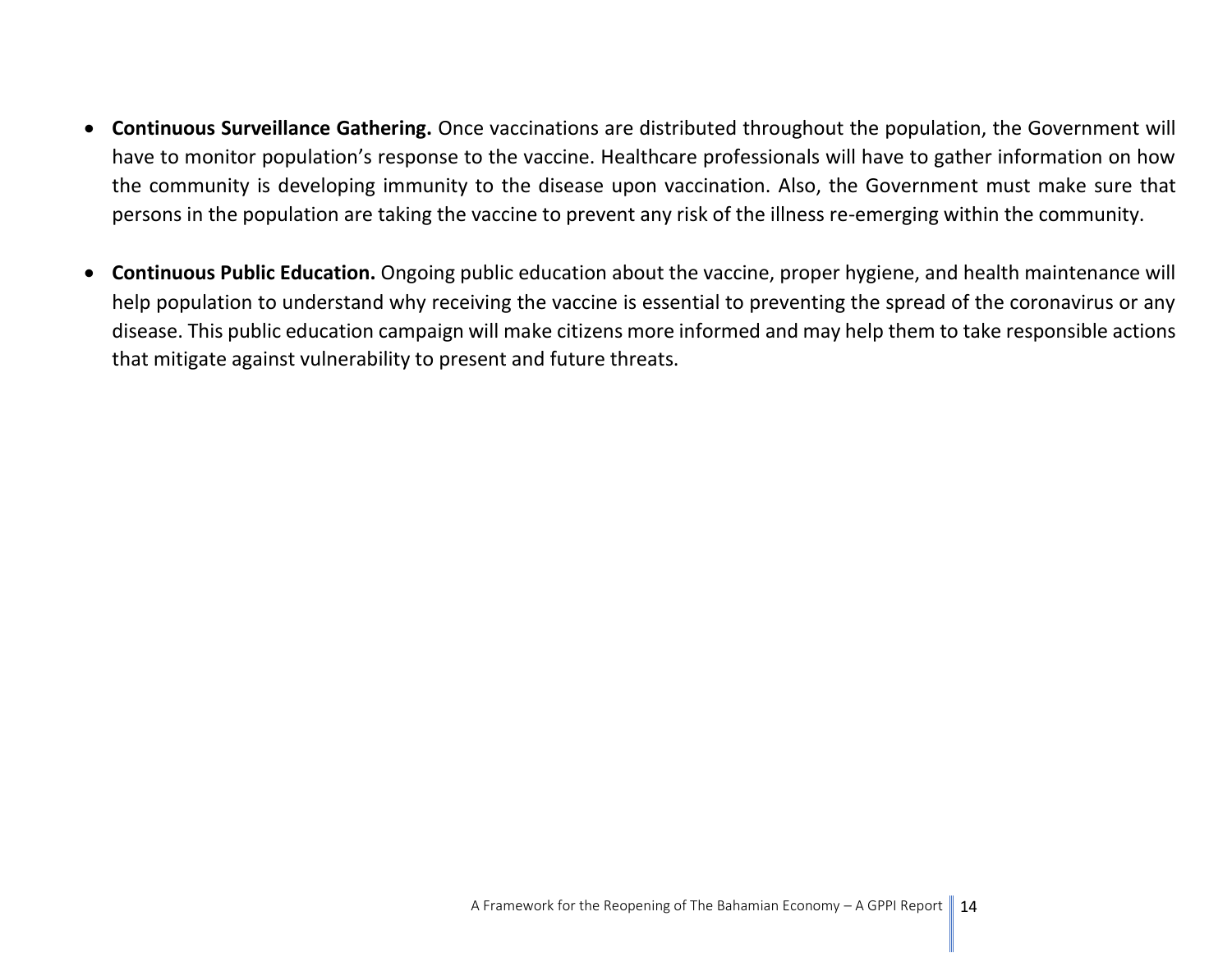- **Continuous Surveillance Gathering.** Once vaccinations are distributed throughout the population, the Government will have to monitor population's response to the vaccine. Healthcare professionals will have to gather information on how the community is developing immunity to the disease upon vaccination. Also, the Government must make sure that persons in the population are taking the vaccine to prevent any risk of the illness re-emerging within the community.
- **Continuous Public Education.** Ongoing public education about the vaccine, proper hygiene, and health maintenance will help population to understand why receiving the vaccine is essential to preventing the spread of the coronavirus or any disease. This public education campaign will make citizens more informed and may help them to take responsible actions that mitigate against vulnerability to present and future threats.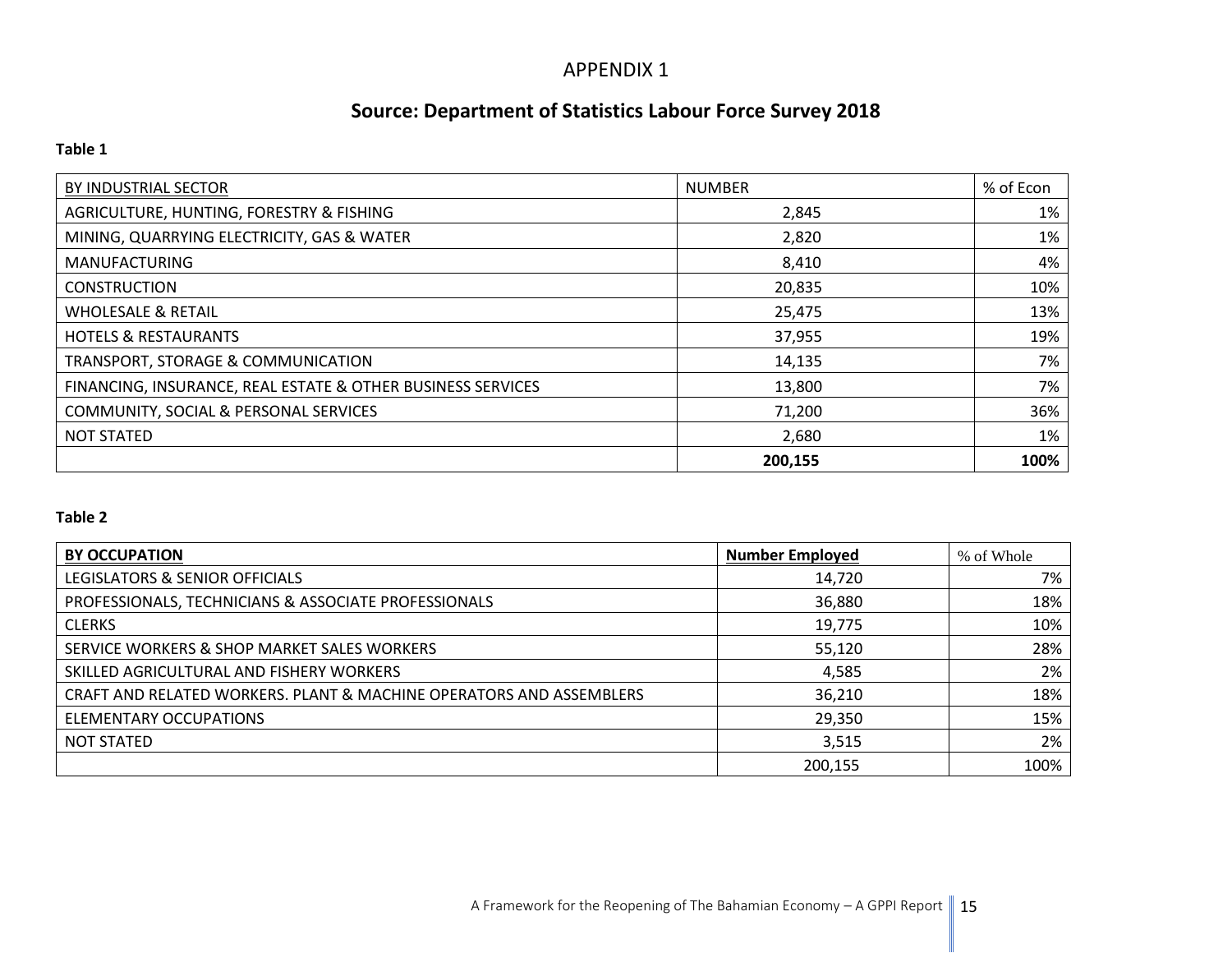#### APPENDIX 1

## **Source: Department of Statistics Labour Force Survey 2018**

#### **Table 1**

| BY INDUSTRIAL SECTOR                                        | <b>NUMBER</b> | % of Econ |
|-------------------------------------------------------------|---------------|-----------|
| AGRICULTURE, HUNTING, FORESTRY & FISHING                    | 2,845         | 1%        |
| MINING, QUARRYING ELECTRICITY, GAS & WATER                  | 2,820         | 1%        |
| <b>MANUFACTURING</b>                                        | 8,410         | 4%        |
| <b>CONSTRUCTION</b>                                         | 20,835        | 10%       |
| <b>WHOLESALE &amp; RETAIL</b>                               | 25,475        | 13%       |
| <b>HOTELS &amp; RESTAURANTS</b>                             | 37,955        | 19%       |
| TRANSPORT, STORAGE & COMMUNICATION                          | 14,135        | 7%        |
| FINANCING, INSURANCE, REAL ESTATE & OTHER BUSINESS SERVICES | 13,800        | 7%        |
| COMMUNITY, SOCIAL & PERSONAL SERVICES                       | 71,200        | 36%       |
| <b>NOT STATED</b>                                           | 2,680         | 1%        |
|                                                             | 200,155       | 100%      |

#### **Table 2**

| <b>BY OCCUPATION</b>                                                | <b>Number Employed</b> | % of Whole |
|---------------------------------------------------------------------|------------------------|------------|
| LEGISLATORS & SENIOR OFFICIALS                                      | 14,720                 | 7%         |
| PROFESSIONALS, TECHNICIANS & ASSOCIATE PROFESSIONALS                | 36,880                 | 18%        |
| <b>CLERKS</b>                                                       | 19,775                 | 10%        |
| SERVICE WORKERS & SHOP MARKET SALES WORKERS                         | 55,120                 | 28%        |
| SKILLED AGRICULTURAL AND FISHERY WORKERS                            | 4,585                  | 2%         |
| CRAFT AND RELATED WORKERS. PLANT & MACHINE OPERATORS AND ASSEMBLERS | 36,210                 | 18%        |
| <b>ELEMENTARY OCCUPATIONS</b>                                       | 29,350                 | 15%        |
| <b>NOT STATED</b>                                                   | 3,515                  | 2%         |
|                                                                     | 200,155                | 100%       |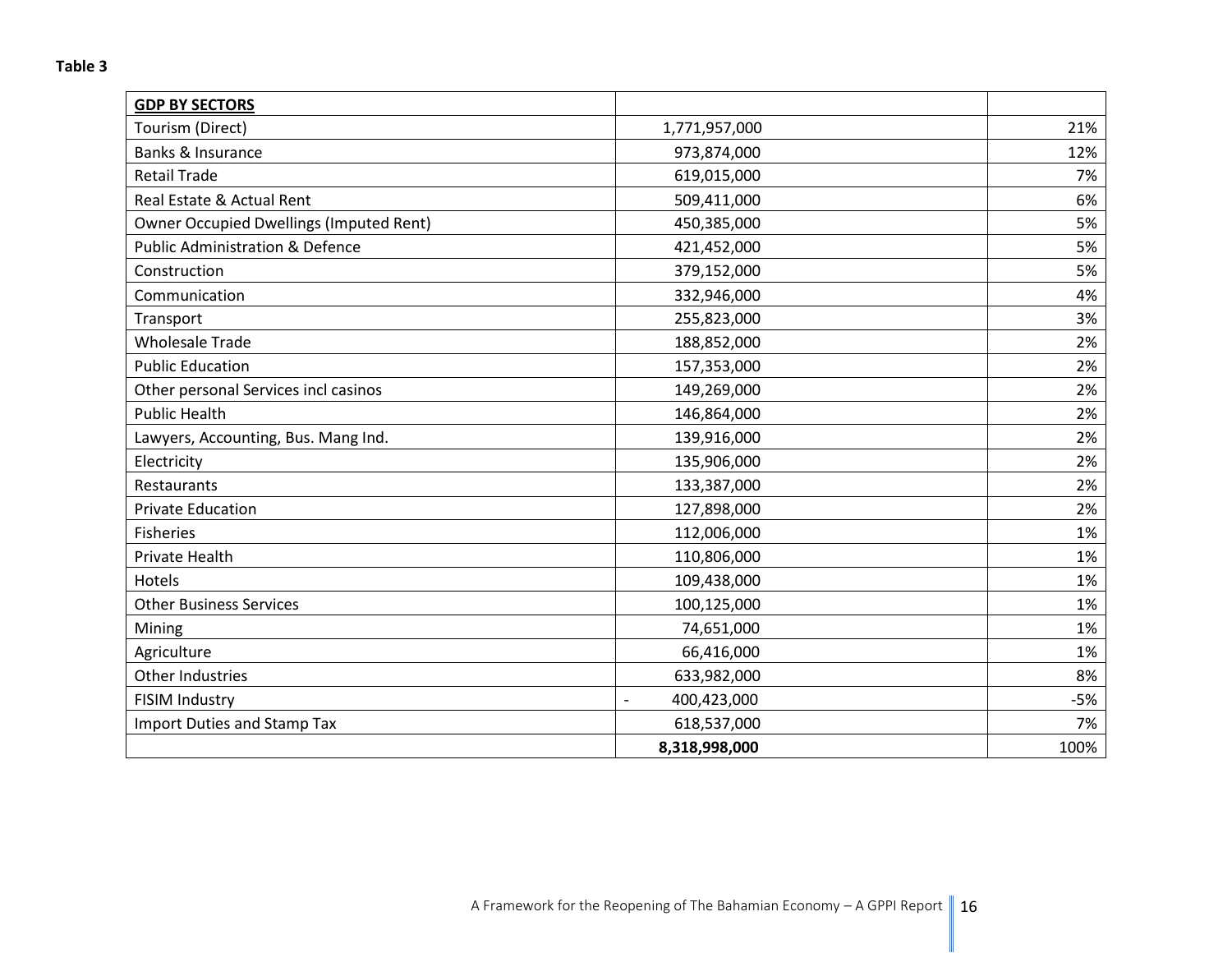| <b>GDP BY SECTORS</b>                          |                               |       |
|------------------------------------------------|-------------------------------|-------|
| Tourism (Direct)                               | 1,771,957,000                 | 21%   |
| Banks & Insurance                              | 973,874,000                   | 12%   |
| <b>Retail Trade</b>                            | 619,015,000                   | 7%    |
| Real Estate & Actual Rent                      | 509,411,000                   | 6%    |
| <b>Owner Occupied Dwellings (Imputed Rent)</b> | 450,385,000                   | 5%    |
| <b>Public Administration &amp; Defence</b>     | 421,452,000                   | 5%    |
| Construction                                   | 379,152,000                   | 5%    |
| Communication                                  | 332,946,000                   | 4%    |
| Transport                                      | 255,823,000                   | 3%    |
| <b>Wholesale Trade</b>                         | 188,852,000                   | 2%    |
| <b>Public Education</b>                        | 157,353,000                   | 2%    |
| Other personal Services incl casinos           | 149,269,000                   | 2%    |
| <b>Public Health</b>                           | 146,864,000                   | 2%    |
| Lawyers, Accounting, Bus. Mang Ind.            | 139,916,000                   | 2%    |
| Electricity                                    | 135,906,000                   | 2%    |
| Restaurants                                    | 133,387,000                   | 2%    |
| <b>Private Education</b>                       | 127,898,000                   | 2%    |
| <b>Fisheries</b>                               | 112,006,000                   | 1%    |
| Private Health                                 | 110,806,000                   | 1%    |
| Hotels                                         | 109,438,000                   | 1%    |
| <b>Other Business Services</b>                 | 100,125,000                   | 1%    |
| Mining                                         | 74,651,000                    | 1%    |
| Agriculture                                    | 66,416,000                    | 1%    |
| Other Industries                               | 633,982,000                   | 8%    |
| FISIM Industry                                 | 400,423,000<br>$\overline{a}$ | $-5%$ |
| <b>Import Duties and Stamp Tax</b>             | 618,537,000                   | 7%    |
|                                                | 8,318,998,000                 | 100%  |